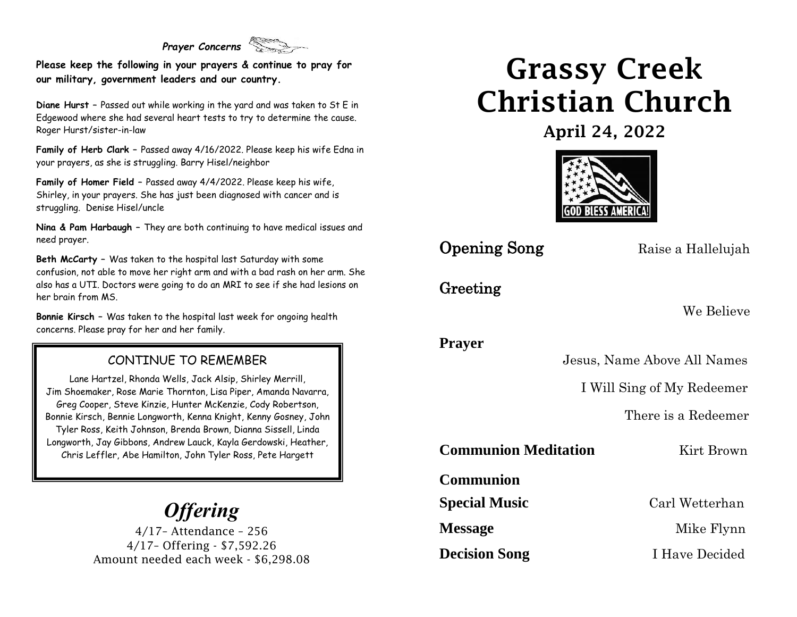## *Prayer Concerns*

**Please keep the following in your prayers & continue to pray for our military, government leaders and our country.**

**Diane Hurst –** Passed out while working in the yard and was taken to St E in Edgewood where she had several heart tests to try to determine the cause. Roger Hurst/sister-in-law

**Family of Herb Clark –** Passed away 4/16/2022. Please keep his wife Edna in your prayers, as she is struggling. Barry Hisel/neighbor

**Family of Homer Field –** Passed away 4/4/2022. Please keep his wife, Shirley, in your prayers. She has just been diagnosed with cancer and is struggling. Denise Hisel/uncle

**Nina & Pam Harbaugh –** They are both continuing to have medical issues and need prayer.

**Beth McCarty –** Was taken to the hospital last Saturday with some confusion, not able to move her right arm and with a bad rash on her arm. She also has a UTI. Doctors were going to do an MRI to see if she had lesions on her brain from MS.

**Bonnie Kirsch –** Was taken to the hospital last week for ongoing health concerns. Please pray for her and her family.

#### CONTINUE TO REMEMBER

Lane Hartzel, Rhonda Wells, Jack Alsip, Shirley Merrill, Jim Shoemaker, Rose Marie Thornton, Lisa Piper, Amanda Navarra, Greg Cooper, Steve Kinzie, Hunter McKenzie, Cody Robertson, Bonnie Kirsch, Bennie Longworth, Kenna Knight, Kenny Gosney, John Tyler Ross, Keith Johnson, Brenda Brown, Dianna Sissell, Linda Longworth, Jay Gibbons, Andrew Lauck, Kayla Gerdowski, Heather, Chris Leffler, Abe Hamilton, John Tyler Ross, Pete Hargett

## *Offering*

4/17– Attendance – 256 4/17– Offering - \$7,592.26 Amount needed each week - \$6,298.08

## Grassy Creek Christian Church

April 24, 2022



**Opening Song** Raise a Hallelujah

### Greeting

We Believe

**Prayer**

Jesus, Name Above All Names

I Will Sing of My Redeemer

There is a Redeemer

**Communion Meditation** Kirt Brown

**Communion** 

**Decision Song** I Have Decided

**Special Music** Carl Wetterhan

**Message** Mike Flynn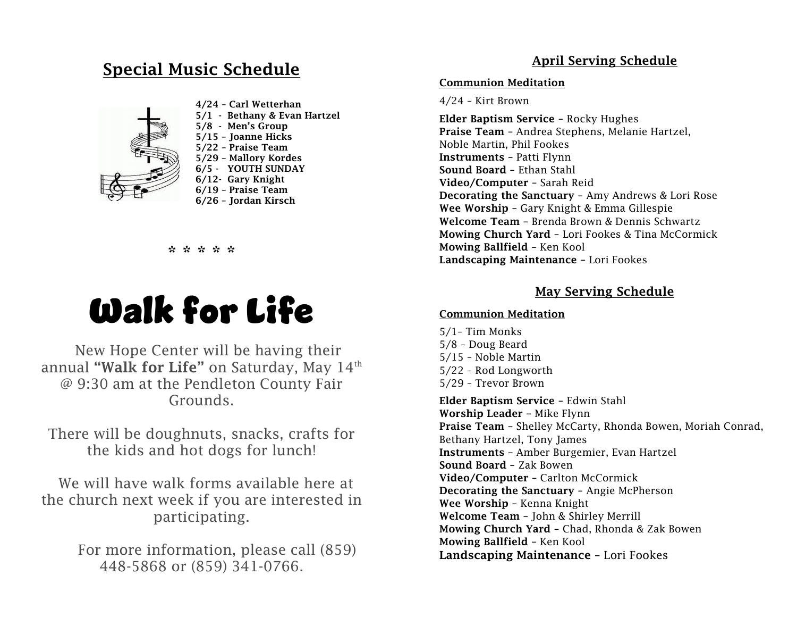## Special Music Schedule



 4/24 – Carl Wetterhan 5/1 - Bethany & Evan Hartzel 5/8 - Men's Group 5/15 – Joanne Hicks 5/22 – Praise Team 5/29 – Mallory Kordes 6/5 - YOUTH SUNDAY 6/12- Gary Knight 6/19 – Praise Team 6/26 – Jordan Kirsch

#### \* \* \* \* \*



New Hope Center will be having their annual "Walk for Life" on Saturday, May  $14^{\text{th}}$ @ 9:30 am at the Pendleton County Fair Grounds.

There will be doughnuts, snacks, crafts for the kids and hot dogs for lunch!

We will have walk forms available here at the church next week if you are interested in participating.

> For more information, please call (859) 448-5868 or (859) 341-0766.

#### April Serving Schedule

#### Communion Meditation

4/24 – Kirt Brown

Elder Baptism Service – Rocky Hughes Praise Team – Andrea Stephens, Melanie Hartzel, Noble Martin, Phil Fookes Instruments – Patti Flynn Sound Board – Ethan Stahl Video/Computer – Sarah Reid Decorating the Sanctuary – Amy Andrews & Lori Rose Wee Worship – Gary Knight & Emma Gillespie Welcome Team – Brenda Brown & Dennis Schwartz Mowing Church Yard – Lori Fookes & Tina McCormick Mowing Ballfield – Ken Kool Landscaping Maintenance – Lori Fookes

#### May Serving Schedule

#### Communion Meditation

5/1– Tim Monks 5/8 – Doug Beard 5/15 – Noble Martin 5/22 – Rod Longworth 5/29 – Trevor Brown Elder Baptism Service – Edwin Stahl Worship Leader – Mike Flynn Praise Team – Shelley McCarty, Rhonda Bowen, Moriah Conrad, Bethany Hartzel, Tony James Instruments – Amber Burgemier, Evan Hartzel Sound Board – Zak Bowen Video/Computer – Carlton McCormick Decorating the Sanctuary – Angie McPherson Wee Worship – Kenna Knight

Welcome Team – John & Shirley Merrill

Mowing Church Yard – Chad, Rhonda & Zak Bowen Mowing Ballfield – Ken Kool

Landscaping Maintenance – Lori Fookes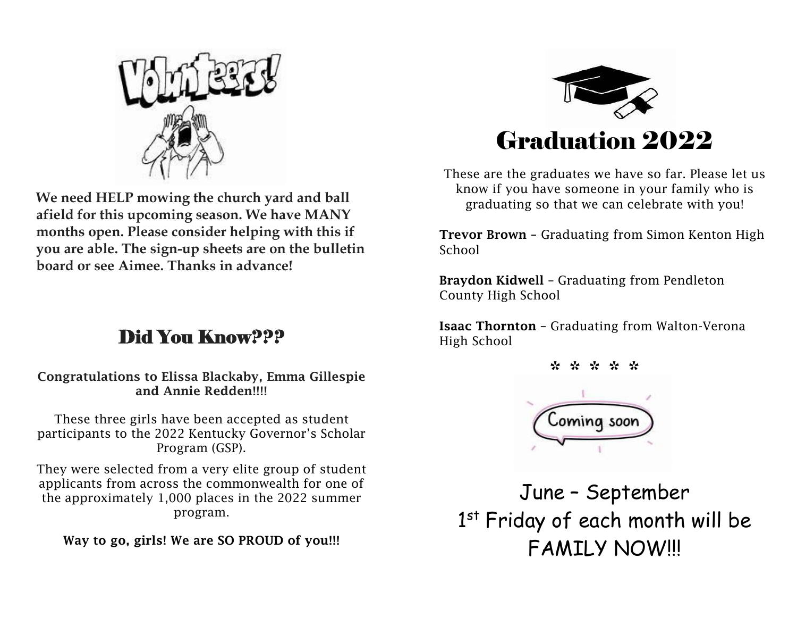

**We need HELP mowing the church yard and ball afield for this upcoming season. We have MANY months open. Please consider helping with this if you are able. The sign-up sheets are on the bulletin board or see Aimee. Thanks in advance!**

## Did You Know???

Congratulations to Elissa Blackaby, Emma Gillespie and Annie Redden!!!!

These three girls have been accepted as student participants to the 2022 Kentucky Governor's Scholar Program (GSP).

They were selected from a very elite group of student applicants from across the commonwealth for one of the approximately 1,000 places in the 2022 summer program.

Way to go, girls! We are SO PROUD of you!!!



These are the graduates we have so far. Please let us know if you have someone in your family who is graduating so that we can celebrate with you!

Trevor Brown – Graduating from Simon Kenton High School

Braydon Kidwell – Graduating from Pendleton County High School

Isaac Thornton – Graduating from Walton-Verona High School



June – September 1<sup>st</sup> Friday of each month will be FAMILY NOW!!!